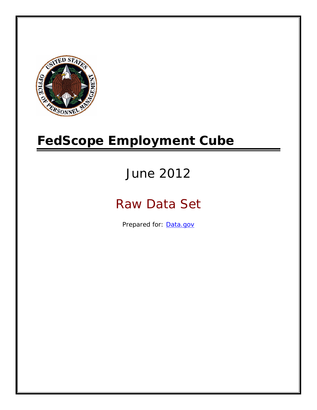

# **FedScope Employment Cube**

# June 2012

# Raw Data Set

Prepared for: [Data.gov](http://www.data.gov/)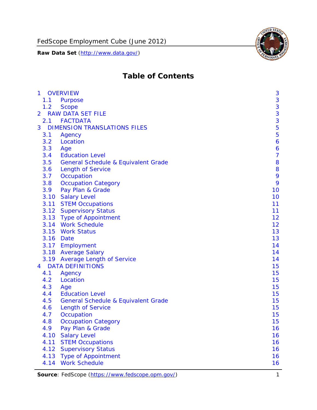

# **Table of Contents**

| $\mathbf{1}$   |      | <b>OVERVIEW</b>                                | 3              |
|----------------|------|------------------------------------------------|----------------|
|                | 1.1  | Purpose                                        | 3              |
|                | 1.2  | <b>Scope</b>                                   | 3              |
| $\overline{2}$ |      | <b>RAW DATA SET FILE</b>                       | 3              |
|                | 2.1  | <b>FACTDATA</b>                                | 3              |
| 3              |      | <b>DIMENSION TRANSLATIONS FILES</b>            | 5              |
|                | 3.1  | Agency                                         | 5              |
|                | 3.2  | Location                                       | 6              |
|                | 3.3  | Age                                            | 6              |
|                | 3.4  | <b>Education Level</b>                         | $\overline{7}$ |
|                | 3.5  | <b>General Schedule &amp; Equivalent Grade</b> | 8              |
|                | 3.6  | <b>Length of Service</b>                       | 8              |
|                | 3.7  | Occupation                                     | 9              |
|                | 3.8  | <b>Occupation Category</b>                     | 9              |
|                | 3.9  | Pay Plan & Grade                               | 10             |
|                | 3.10 | <b>Salary Level</b>                            | 10             |
|                | 3.11 | <b>STEM Occupations</b>                        | 11             |
|                |      | 3.12 Supervisory Status                        | 11             |
|                |      | 3.13 Type of Appointment                       | 12             |
|                |      | 3.14 Work Schedule                             | 12             |
|                | 3.15 | <b>Work Status</b>                             | 13             |
|                |      | 3.16 Date                                      | 13             |
|                |      | 3.17 Employment                                | 14             |
|                |      | 3.18 Average Salary                            | 14             |
|                | 3.19 | <b>Average Length of Service</b>               | 14             |
| $\overline{4}$ |      | <b>DATA DEFINITIONS</b>                        | 15             |
|                | 4.1  | Agency                                         | 15             |
|                | 4.2  | Location                                       | 15             |
|                | 4.3  | Age                                            | 15             |
|                | 4.4  | <b>Education Level</b>                         | 15             |
|                | 4.5  | <b>General Schedule &amp; Equivalent Grade</b> | 15             |
|                | 4.6  | <b>Length of Service</b>                       | 15             |
|                | 4.7  | Occupation                                     | 15             |
|                | 4.8  | <b>Occupation Category</b>                     | 15             |
|                | 4.9  | Pay Plan & Grade                               | 16             |
|                | 4.10 | <b>Salary Level</b>                            | 16             |
|                | 4.11 | <b>STEM Occupations</b>                        | 16             |
|                | 4.12 | <b>Supervisory Status</b>                      | 16             |
|                | 4.13 | <b>Type of Appointment</b>                     | 16             |
|                | 4.14 | <b>Work Schedule</b>                           | 16             |

**Source**: FedScope (https://www.fedscope.opm.gov/) 1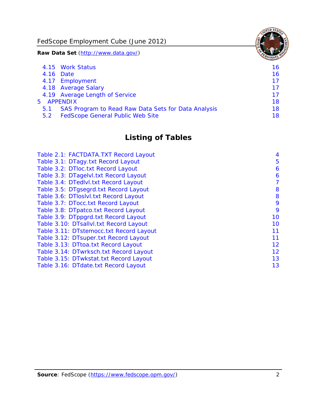FedScope Employment Cube (June 2012)

**Raw Data Set** (http://www.data.gov/)

|     | 4.15 Work Status                                    | 16 |
|-----|-----------------------------------------------------|----|
|     | 4.16 Date                                           | 16 |
|     | 4.17 Employment                                     | 17 |
|     | 4.18 Average Salary                                 | 17 |
|     | 4.19 Average Length of Service                      | 17 |
|     | 5 APPENDIX                                          | 18 |
| 5.1 | SAS Program to Read Raw Data Sets for Data Analysis | 18 |
| 5.2 | <b>FedScope General Public Web Site</b>             | 18 |

# **Listing of Tables**

| Table 2.1: FACTDATA.TXT Record Layout   | 4  |
|-----------------------------------------|----|
| Table 3.1: DTagy.txt Record Layout      | 5  |
| Table 3.2: DTloc.txt Record Layout      | 6  |
| Table 3.3: DTagelvl.txt Record Layout   | 6  |
| Table 3.4: DTedlvl.txt Record Layout    | 7  |
| Table 3.5: DTgsegrd.txt Record Layout   | 8  |
| Table 3.6: DTIoslyl.txt Record Layout   | 8  |
| Table 3.7: DTocc.txt Record Layout      | 9  |
| Table 3.8: DTpatco.txt Record Layout    | 9  |
| Table 3.9: DTppgrd.txt Record Layout    | 10 |
| Table 3.10: DTsallvl.txt Record Layout  | 10 |
| Table 3.11: DTstemocc.txt Record Layout | 11 |
| Table 3.12: DTsuper.txt Record Layout   | 11 |
| Table 3.13: DTtoa.txt Record Layout     | 12 |
| Table 3.14: DTwrksch.txt Record Layout  | 12 |
| Table 3.15: DTwkstat.txt Record Layout  | 13 |
| Table 3.16: DTdate.txt Record Layout    | 13 |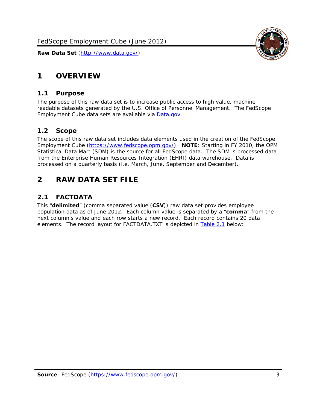

# <span id="page-3-0"></span>**1 OVERVIEW**

#### *1.1 Purpose*

<span id="page-3-1"></span>The purpose of this raw data set is to increase public access to high value, machine readable datasets generated by the U.S. Office of Personnel Management. The FedScope Employment Cube data sets are available via [Data.gov](http://www.data.gov/).

#### <span id="page-3-2"></span>*1.2 Scope*

The scope of this raw data set includes data elements used in the creation of the FedScope Employment Cube [\(https://www.fedscope.opm.gov/\)](https://www.fedscope.opm.gov/). **NOTE**: Starting in FY 2010, the OPM Statistical Data Mart (SDM) is the source for all FedScope data. The SDM is processed data from the Enterprise Human Resources Integration (EHRI) data warehouse. Data is processed on a quarterly basis (i.e. March, June, September and December).

# <span id="page-3-3"></span>**2 RAW DATA SET FILE**

# <span id="page-3-4"></span>*2.1 FACTDATA*

This "**delimited**" (comma separated value (**CSV**)) raw data set provides employee population data as of June 2012. Each column value is separated by a "**comma**" from the next column's value and each row starts a new record. Each record contains 20 data elements. The record layout for FACTDATA.TXT is depicted in [Table 2.1](#page-4-1) below: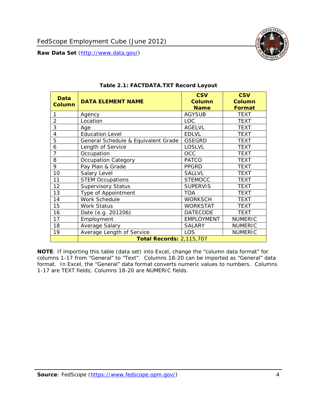

<span id="page-4-1"></span><span id="page-4-0"></span>

| Data<br><b>Column</b> | <b>DATA ELEMENT NAME</b>            | <b>CSV</b><br>Column<br><b>Name</b> | <b>CSV</b><br><b>Column</b><br><b>Format</b> |
|-----------------------|-------------------------------------|-------------------------------------|----------------------------------------------|
|                       | Agency                              | <b>AGYSUB</b>                       | <b>TEXT</b>                                  |
| $\overline{2}$        | Location                            | <b>LOC</b>                          | <b>TEXT</b>                                  |
| 3                     | Age                                 | <b>AGELVL</b>                       | <b>TEXT</b>                                  |
| 4                     | <b>Education Level</b>              | <b>EDLVL</b>                        | <b>TEXT</b>                                  |
| 5                     | General Schedule & Equivalent Grade | <b>GSEGRD</b>                       | <b>TEXT</b>                                  |
| 6                     | Length of Service                   | <b>LOSLVL</b>                       | <b>TEXT</b>                                  |
| $\overline{7}$        | Occupation                          | <b>OCC</b>                          | <b>TEXT</b>                                  |
| 8                     | <b>Occupation Category</b>          | <b>PATCO</b>                        | <b>TEXT</b>                                  |
| 9                     | Pay Plan & Grade                    | <b>PPGRD</b>                        | <b>TEXT</b>                                  |
| 10                    | Salary Level                        | <b>SALLVL</b>                       | <b>TEXT</b>                                  |
| 11                    | <b>STEM Occupations</b>             | <b>STEMOCC</b>                      | <b>TEXT</b>                                  |
| 12                    | <b>Supervisory Status</b>           | <b>SUPERVIS</b>                     | <b>TEXT</b>                                  |
| 13                    | Type of Appointment                 | <b>TOA</b>                          | <b>TEXT</b>                                  |
| 14                    | Work Schedule                       | <b>WORKSCH</b>                      | <b>TEXT</b>                                  |
| 15                    | <b>Work Status</b>                  | <b>WORKSTAT</b>                     | <b>TEXT</b>                                  |
| 16                    | Date (e.g. 201206)                  | <b>DATECODE</b>                     | <b>TEXT</b>                                  |
| 17                    | Employment                          | <b>EMPLOYMENT</b>                   | <b>NUMERIC</b>                               |
| 18                    | Average Salary                      | <b>SALARY</b>                       | <b>NUMERIC</b>                               |
| 19                    | Average Length of Service           | LOS                                 | <b>NUMERIC</b>                               |
|                       | <b>Total Records: 2,115,707</b>     |                                     |                                              |

#### **Table 2.1: FACTDATA.TXT Record Layout**

**NOTE**: If importing this table (data set) into Excel, change the "column data format" for columns 1-17 from "General" to "Text". Columns 18-20 can be imported as "General" data format. In Excel, the "General" data format converts numeric values to numbers. Columns 1-17 are TEXT fields; Columns 18-20 are NUMERIC fields.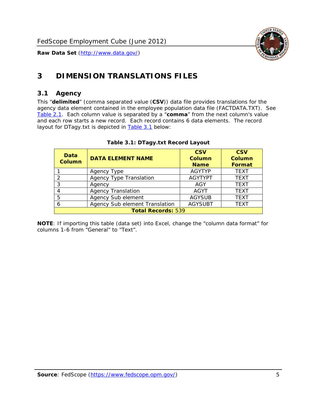

# <span id="page-5-0"></span>**3 DIMENSION TRANSLATIONS FILES**

#### <span id="page-5-1"></span>*3.1 Agency*

<span id="page-5-3"></span><span id="page-5-2"></span>This "**delimited**" (comma separated value (**CSV**)) data file provides translations for the agency data element contained in the employee population data file (FACTDATA.TXT). See [Table 2.1.](#page-4-1) Each column value is separated by a "**comma**" from the next column's value and each row starts a new record. Each record contains 6 data elements. The record layout for DTagy.txt is depicted in **Table 3.1** below:

| Data<br><b>Column</b>     | <b>DATA ELEMENT NAME</b>       | <b>CSV</b><br><b>Column</b><br><b>Name</b> | <b>CSV</b><br>Column<br><b>Format</b> |
|---------------------------|--------------------------------|--------------------------------------------|---------------------------------------|
|                           | Agency Type                    | <b>AGYTYP</b>                              | <b>TEXT</b>                           |
| 2                         | <b>Agency Type Translation</b> | <b>AGYTYPT</b>                             | <b>TEXT</b>                           |
| 3                         | Agency                         | AGY                                        | <b>TEXT</b>                           |
|                           | <b>Agency Translation</b>      | <b>AGYT</b>                                | <b>TEXT</b>                           |
| -5                        | Agency Sub element             | <b>AGYSUB</b>                              | <b>TEXT</b>                           |
|                           | Agency Sub element Translation | <b>AGYSUBT</b>                             | <b>TEXT</b>                           |
| <b>Total Records: 539</b> |                                |                                            |                                       |

#### **Table 3.1: DTagy.txt Record Layout**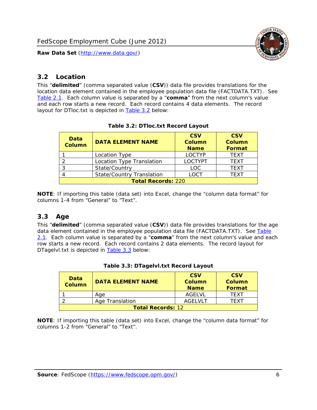

#### <span id="page-6-0"></span>*3.2 Location*

<span id="page-6-4"></span><span id="page-6-2"></span>This "**delimited**" (comma separated value (**CSV**)) data file provides translations for the location data element contained in the employee population data file (FACTDATA.TXT). See [Table 2.1.](#page-4-1) Each column value is separated by a "**comma**" from the next column's value and each row starts a new record. Each record contains 4 data elements. The record layout for DTloc.txt is depicted in [Table 3.2](#page-6-4) below:

| Data<br><b>Column</b>     | <b>DATA ELEMENT NAME</b>         | <b>CSV</b><br>Column<br><b>Name</b> | <b>CSV</b><br><b>Column</b><br><b>Format</b> |
|---------------------------|----------------------------------|-------------------------------------|----------------------------------------------|
|                           | Location Type                    | <b>LOCTYP</b>                       | <b>TEXT</b>                                  |
|                           | Location Type Translation        | <b>LOCTYPT</b>                      | <b>TEXT</b>                                  |
| ົ                         | State/Country                    | <b>LOC</b>                          | <b>TFXT</b>                                  |
|                           | <b>State/Country Translation</b> | LOCT                                | <b>TFXT</b>                                  |
| <b>Total Records: 220</b> |                                  |                                     |                                              |

#### **Table 3.2: DTloc.txt Record Layout**

**NOTE**: If importing this table (data set) into Excel, change the "column data format" for columns 1-4 from "General" to "Text".

#### <span id="page-6-1"></span>*3.3 Age*

<span id="page-6-5"></span><span id="page-6-3"></span>This "**delimited**" (comma separated value (**CSV**)) data file provides translations for the age data element contained in the employee population data file (FACTDATA.TXT). See [Table](#page-4-1) [2.1](#page-4-1). Each column value is separated by a "**comma**" from the next column's value and each row starts a new record. Each record contains 2 data elements. The record layout for DTagelvl.txt is depicted in **[Table 3.3](#page-6-5)** below:

| Data<br><b>Column</b>    | <b>DATA ELEMENT NAME</b> | <b>CSV</b><br>Column<br><b>Name</b> | <b>CSV</b><br>Column<br><b>Format</b> |
|--------------------------|--------------------------|-------------------------------------|---------------------------------------|
|                          | Aae                      | AGFI VI                             | TFXT                                  |
|                          | Age Translation          | AGFI VI T                           | TFXT                                  |
| <b>Total Records: 12</b> |                          |                                     |                                       |

#### **Table 3.3: DTagelvl.txt Record Layout**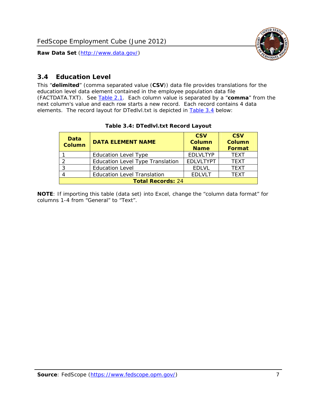

### <span id="page-7-0"></span>*3.4 Education Level*

<span id="page-7-2"></span><span id="page-7-1"></span>This "**delimited**" (comma separated value (**CSV**)) data file provides translations for the education level data element contained in the employee population data file (FACTDATA.TXT). See [Table 2.1](#page-4-1). Each column value is separated by a "**comma**" from the next column's value and each row starts a new record. Each record contains 4 data elements. The record layout for DTedlvl.txt is depicted in [Table 3.4](#page-7-2) below:

| Data<br><b>Column</b>    | <b>DATA ELEMENT NAME</b>                | <b>CSV</b><br><b>Column</b><br><b>Name</b> | <b>CSV</b><br><b>Column</b><br>Format |
|--------------------------|-----------------------------------------|--------------------------------------------|---------------------------------------|
|                          | <b>Education Level Type</b>             | <b>EDLVLTYP</b>                            | <b>TEXT</b>                           |
|                          | <b>Education Level Type Translation</b> | <b>EDLVLTYPT</b>                           | <b>TEXT</b>                           |
|                          | <b>Education Level</b>                  | <b>EDLVL</b>                               | <b>TEXT</b>                           |
|                          | <b>Education Level Translation</b>      | <b>EDLVLT</b>                              | <b>TEXT</b>                           |
| <b>Total Records: 24</b> |                                         |                                            |                                       |

#### **Table 3.4: DTedlvl.txt Record Layout**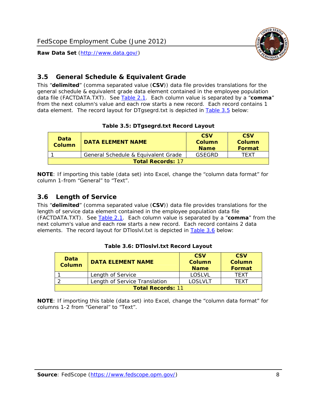

#### <span id="page-8-0"></span>*3.5 General Schedule & Equivalent Grade*

This "**delimited**" (comma separated value (**CSV**)) data file provides translations for the general schedule & equivalent grade data element contained in the employee population data file (FACTDATA.TXT). See [Table 2.1](#page-4-1). Each column value is separated by a "**comma**" from the next column's value and each row starts a new record. Each record contains 1 data element. The record layout for DTgsegrd.txt is depicted in [Table 3.5](#page-8-4) below:

#### **Table 3.5: DTgsegrd.txt Record Layout**

<span id="page-8-4"></span><span id="page-8-2"></span>

| Data<br><b>Column</b>    | DATA FI FMFNT NAMF                  | <b>CSV</b><br>Column<br><b>Name</b> | <b>CSV</b><br>Column<br>Format |
|--------------------------|-------------------------------------|-------------------------------------|--------------------------------|
|                          | General Schedule & Equivalent Grade | GSEGRD                              | TFXT                           |
| <b>Total Records: 17</b> |                                     |                                     |                                |

**NOTE**: If importing this table (data set) into Excel, change the "column data format" for column 1-from "General" to "Text".

#### <span id="page-8-1"></span>*3.6 Length of Service*

<span id="page-8-5"></span>This "**delimited**" (comma separated value (**CSV**)) data file provides translations for the length of service data element contained in the employee population data file (FACTDATA.TXT). See [Table 2.1](#page-4-1). Each column value is separated by a "**comma**" from the next column's value and each row starts a new record. Each record contains 2 data elements. The record layout for DTloslvl.txt is depicted in [Table 3.6](#page-8-5) below:

<span id="page-8-3"></span>

| Data<br><b>Column</b>    | <b>DATA ELEMENT NAME</b>      | <b>CSV</b><br><b>Column</b><br><b>Name</b> | <b>CSV</b><br>Column<br>Format |
|--------------------------|-------------------------------|--------------------------------------------|--------------------------------|
|                          | Length of Service             | LOSLVL                                     | TFXT                           |
|                          | Length of Service Translation | LOSI VLT                                   | TFXT                           |
| <b>Total Records: 11</b> |                               |                                            |                                |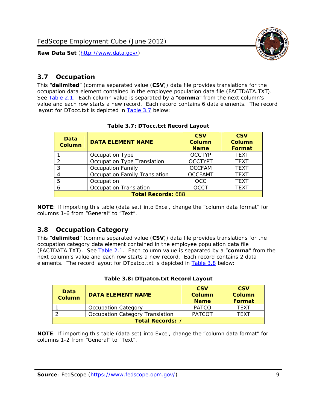

#### <span id="page-9-0"></span>*3.7 Occupation*

<span id="page-9-4"></span>This "**delimited**" (comma separated value (**CSV**)) data file provides translations for the occupation data element contained in the employee population data file (FACTDATA.TXT). See [Table 2.1](#page-4-1). Each column value is separated by a "**comma**" from the next column's value and each row starts a new record. Each record contains 6 data elements. The record layout for DTocc.txt is depicted in [Table 3.7](#page-9-4) below:

<span id="page-9-2"></span>

| Data<br><b>Column</b>     | <b>DATA ELEMENT NAME</b>             | <b>CSV</b><br>Column<br><b>Name</b> | <b>CSV</b><br><b>Column</b><br><b>Format</b> |
|---------------------------|--------------------------------------|-------------------------------------|----------------------------------------------|
|                           | Occupation Type                      | <b>OCCTYP</b>                       | <b>TEXT</b>                                  |
|                           | Occupation Type Translation          | <b>OCCTYPT</b>                      | <b>TEXT</b>                                  |
| ာ                         | <b>Occupation Family</b>             | <b>OCCFAM</b>                       | <b>TEXT</b>                                  |
|                           | <b>Occupation Family Translation</b> | <b>OCCFAMT</b>                      | <b>TEXT</b>                                  |
| 5                         | Occupation                           | <b>OCC</b>                          | <b>TEXT</b>                                  |
|                           | <b>Occupation Translation</b>        | <b>OCCT</b>                         | <b>TEXT</b>                                  |
| <b>Total Records: 688</b> |                                      |                                     |                                              |

#### **Table 3.7: DTocc.txt Record Layout**

**NOTE**: If importing this table (data set) into Excel, change the "column data format" for columns 1-6 from "General" to "Text".

#### <span id="page-9-1"></span>*3.8 Occupation Category*

<span id="page-9-5"></span>This "**delimited**" (comma separated value (**CSV**)) data file provides translations for the occupation category data element contained in the employee population data file (FACTDATA.TXT). See [Table 2.1](#page-4-1). Each column value is separated by a "**comma**" from the next column's value and each row starts a new record. Each record contains 2 data elements. The record layout for DTpatco.txt is depicted in [Table 3.8](#page-9-5) below:

<span id="page-9-3"></span>

| Data<br><b>Column</b>   | <b>DATA ELEMENT NAME</b>        | <b>CSV</b><br>Column<br><b>Name</b> | <b>CSV</b><br>Column<br>Format |
|-------------------------|---------------------------------|-------------------------------------|--------------------------------|
|                         | <b>Occupation Category</b>      | <b>PATCO</b>                        | <b>TFXT</b>                    |
|                         | Occupation Category Translation | <b>PATCOT</b>                       | TFXT                           |
| <b>Total Records: 7</b> |                                 |                                     |                                |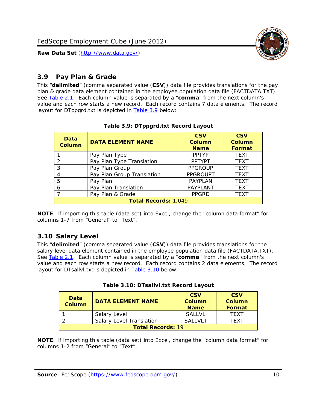

### <span id="page-10-0"></span>*3.9 Pay Plan & Grade*

<span id="page-10-4"></span>This "**delimited**" (comma separated value (**CSV**)) data file provides translations for the pay plan & grade data element contained in the employee population data file (FACTDATA.TXT). See [Table 2.1](#page-4-1). Each column value is separated by a "**comma**" from the next column's value and each row starts a new record. Each record contains 7 data elements. The record layout for DTppgrd.txt is depicted in **Table 3.9** below:

<span id="page-10-2"></span>

| Data<br><b>Column</b>       | <b>DATA ELEMENT NAME</b>   | <b>CSV</b><br>Column<br><b>Name</b> | <b>CSV</b><br>Column<br><b>Format</b> |
|-----------------------------|----------------------------|-------------------------------------|---------------------------------------|
|                             | Pay Plan Type              | <b>PPTYP</b>                        | <b>TEXT</b>                           |
| $\mathcal{P}$               | Pay Plan Type Translation  | <b>PPTYPT</b>                       | <b>TEXT</b>                           |
| 3                           | Pay Plan Group             | <b>PPGROUP</b>                      | <b>TEXT</b>                           |
|                             | Pay Plan Group Translation | <b>PPGROUPT</b>                     | <b>TEXT</b>                           |
| 5                           | Pay Plan                   | <b>PAYPLAN</b>                      | <b>TEXT</b>                           |
| 6                           | Pay Plan Translation       | <b>PAYPLANT</b>                     | <b>TEXT</b>                           |
|                             | Pay Plan & Grade           | <b>PPGRD</b>                        | <b>TEXT</b>                           |
| <b>Total Records: 1,049</b> |                            |                                     |                                       |

#### **Table 3.9: DTppgrd.txt Record Layout**

**NOTE**: If importing this table (data set) into Excel, change the "column data format" for columns 1-7 from "General" to "Text".

# <span id="page-10-1"></span>*3.10 Salary Level*

<span id="page-10-5"></span><span id="page-10-3"></span>This "**delimited**" (comma separated value (**CSV**)) data file provides translations for the salary level data element contained in the employee population data file (FACTDATA.TXT). See [Table 2.1](#page-4-1). Each column value is separated by a "**comma**" from the next column's value and each row starts a new record. Each record contains 2 data elements. The record layout for DTsallvl.txt is depicted in [Table 3.10](#page-10-5) below:

| <b>Data</b><br><b>Column</b> | <b>DATA ELEMENT NAME</b>        | <b>CSV</b><br>Column<br><b>Name</b> | <b>CSV</b><br>Column<br><b>Format</b> |
|------------------------------|---------------------------------|-------------------------------------|---------------------------------------|
|                              | Salary Level                    | <b>SALLVL</b>                       | TFXT                                  |
|                              | <b>Salary Level Translation</b> | SAI I VI T                          | TEXT                                  |
| <b>Total Records: 19</b>     |                                 |                                     |                                       |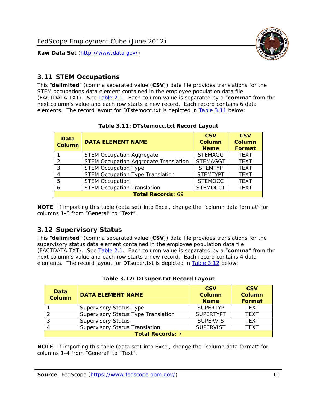

#### <span id="page-11-0"></span>*3.11 STEM Occupations*

<span id="page-11-4"></span>This "**delimited**" (comma separated value (**CSV**)) data file provides translations for the STEM occupations data element contained in the employee population data file (FACTDATA.TXT). See [Table 2.1](#page-4-1). Each column value is separated by a "**comma**" from the next column's value and each row starts a new record. Each record contains 6 data elements. The record layout for DTstemocc.txt is depicted in [Table 3.11](#page-11-4) below:

<span id="page-11-2"></span>

| <b>Data</b><br><b>Column</b> | <b>DATA ELEMENT NAME</b>                     | <b>CSV</b><br><b>Column</b><br><b>Name</b> | <b>CSV</b><br><b>Column</b><br>Format |  |
|------------------------------|----------------------------------------------|--------------------------------------------|---------------------------------------|--|
|                              | <b>STEM Occupation Aggregate</b>             | <b>STEMAGG</b>                             | <b>TEXT</b>                           |  |
|                              | <b>STEM Occupation Aggregate Translation</b> | <b>STEMAGGT</b>                            | <b>TEXT</b>                           |  |
| 3                            | <b>STEM Occupation Type</b>                  | <b>STEMTYP</b>                             | <b>TFXT</b>                           |  |
|                              | <b>STEM Occupation Type Translation</b>      | <b>STEMTYPT</b>                            | <b>TEXT</b>                           |  |
| 5                            | <b>STEM Occupation</b>                       | <b>STEMOCC</b>                             | <b>TEXT</b>                           |  |
|                              | <b>STEM Occupation Translation</b>           | <b>STEMOCCT</b>                            | <b>TEXT</b>                           |  |
| <b>Total Records: 69</b>     |                                              |                                            |                                       |  |

#### **Table 3.11: DTstemocc.txt Record Layout**

**NOTE**: If importing this table (data set) into Excel, change the "column data format" for columns 1-6 from "General" to "Text".

# <span id="page-11-1"></span>*3.12 Supervisory Status*

This "**delimited**" (comma separated value (**CSV**)) data file provides translations for the supervisory status data element contained in the employee population data file (FACTDATA.TXT). See [Table 2.1](#page-4-1). Each column value is separated by a "**comma**" from the next column's value and each row starts a new record. Each record contains 4 data elements. The record layout for DTsuper.txt is depicted in [Table 3.12](#page-11-5) below:

<span id="page-11-5"></span><span id="page-11-3"></span>

| Data<br><b>Column</b>   | <b>DATA ELEMENT NAME</b>              | <b>CSV</b><br>Column<br><b>Name</b> | <b>CSV</b><br><b>Column</b><br>Format |  |
|-------------------------|---------------------------------------|-------------------------------------|---------------------------------------|--|
|                         | <b>Supervisory Status Type</b>        | <b>SUPFRTYP</b>                     | <b>TEXT</b>                           |  |
|                         | Supervisory Status Type Translation   | <b>SUPERTYPT</b>                    | <b>TEXT</b>                           |  |
|                         | <b>Supervisory Status</b>             | <b>SUPERVIS</b>                     | <b>TEXT</b>                           |  |
|                         | <b>Supervisory Status Translation</b> | <b>SUPERVIST</b>                    | <b>TEXT</b>                           |  |
| <b>Total Records: 7</b> |                                       |                                     |                                       |  |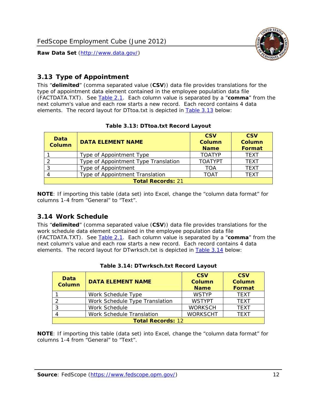

### <span id="page-12-0"></span>*3.13 Type of Appointment*

This "**delimited**" (comma separated value (**CSV**)) data file provides translations for the type of appointment data element contained in the employee population data file (FACTDATA.TXT). See [Table 2.1](#page-4-1). Each column value is separated by a "**comma**" from the next column's value and each row starts a new record. Each record contains 4 data elements. The record layout for DTtoa.txt is depicted in [Table 3.13](#page-12-4) below:

<span id="page-12-4"></span><span id="page-12-2"></span>

| Data<br><b>Column</b> | <b>DATA ELEMENT NAME</b>             | <b>CSV</b><br><b>Column</b><br><b>Name</b> | <b>CSV</b><br><b>Column</b><br>Format |
|-----------------------|--------------------------------------|--------------------------------------------|---------------------------------------|
|                       | Type of Appointment Type             | <b>TOATYP</b>                              | <b>TEXT</b>                           |
|                       | Type of Appointment Type Translation | <b>TOATYPT</b>                             | <b>TEXT</b>                           |
|                       | Type of Appointment                  | TOA                                        | <b>TEXT</b>                           |
|                       | Type of Appointment Translation      | <b>TOAT</b>                                | <b>TEXT</b>                           |
|                       | <b>Total Records: 21</b>             |                                            |                                       |

#### **Table 3.13: DTtoa.txt Record Layout**

**NOTE**: If importing this table (data set) into Excel, change the "column data format" for columns 1-4 from "General" to "Text".

#### <span id="page-12-1"></span>*3.14 Work Schedule*

<span id="page-12-5"></span>This "**delimited**" (comma separated value (**CSV**)) data file provides translations for the work schedule data element contained in the employee population data file (FACTDATA.TXT). See [Table 2.1](#page-4-1). Each column value is separated by a "**comma**" from the next column's value and each row starts a new record. Each record contains 4 data elements. The record layout for DTwrksch.txt is depicted in [Table 3.14](#page-12-5) below:

<span id="page-12-3"></span>

| Data<br>Column           | <b>DATA ELEMENT NAME</b>       | <b>CSV</b><br><b>Column</b><br><b>Name</b> | <b>CSV</b><br>Column<br><b>Format</b> |
|--------------------------|--------------------------------|--------------------------------------------|---------------------------------------|
|                          | Work Schedule Type             | <b>WSTYP</b>                               | <b>TEXT</b>                           |
| 2                        | Work Schedule Type Translation | <b>WSTYPT</b>                              | <b>TFXT</b>                           |
| 3                        | Work Schedule                  | <b>WORKSCH</b>                             | <b>TFXT</b>                           |
|                          | Work Schedule Translation      | <b>WORKSCHT</b>                            | <b>TFXT</b>                           |
| <b>Total Records: 12</b> |                                |                                            |                                       |

|  | Table 3.14: DTwrksch.txt Record Layout |  |
|--|----------------------------------------|--|
|  |                                        |  |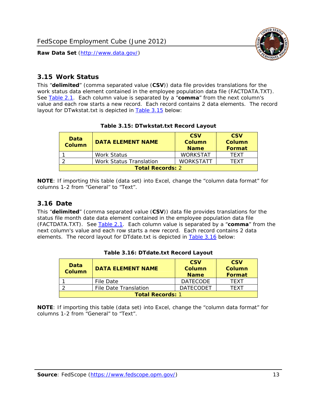

#### <span id="page-13-0"></span>*3.15 Work Status*

<span id="page-13-4"></span><span id="page-13-2"></span>This "**delimited**" (comma separated value (**CSV**)) data file provides translations for the work status data element contained in the employee population data file (FACTDATA.TXT). See [Table 2.1](#page-4-1). Each column value is separated by a "**comma**" from the next column's value and each row starts a new record. Each record contains 2 data elements. The record layout for DTwkstat.txt is depicted in [Table 3.15](#page-13-4) below:

| Data<br><b>Column</b>   | <b>DATA ELEMENT NAME</b>       | <b>CSV</b><br>Column<br><b>Name</b> | <b>CSV</b><br>Column<br>Format |
|-------------------------|--------------------------------|-------------------------------------|--------------------------------|
|                         | Work Status                    | <b>WORKSTAT</b>                     | TFXT                           |
|                         | <b>Work Status Translation</b> | <b>WORKSTATT</b>                    | TFXT                           |
| <b>Total Records: 2</b> |                                |                                     |                                |

#### **Table 3.15: DTwkstat.txt Record Layout**

**NOTE**: If importing this table (data set) into Excel, change the "column data format" for columns 1-2 from "General" to "Text".

#### <span id="page-13-1"></span>*3.16 Date*

<span id="page-13-5"></span><span id="page-13-3"></span>This "**delimited**" (comma separated value (**CSV**)) data file provides translations for the status file month date data element contained in the employee population data file (FACTDATA.TXT). See [Table 2.1](#page-4-1). Each column value is separated by a "**comma**" from the next column's value and each row starts a new record. Each record contains 2 data elements. The record layout for DTdate.txt is depicted in [Table 3.16](#page-13-5) below:

| Data<br><b>Column</b>   | <b>DATA ELEMENT NAME</b> | <b>CSV</b><br>Column<br><b>Name</b> | <b>CSV</b><br>Column<br><b>Format</b> |
|-------------------------|--------------------------|-------------------------------------|---------------------------------------|
|                         | File Date                | <b>DATECODE</b>                     | TFXT                                  |
|                         | File Date Translation    | <b>DATECODET</b>                    | TFXT                                  |
| <b>Total Records: 1</b> |                          |                                     |                                       |

**Table 3.16: DTdate.txt Record Layout**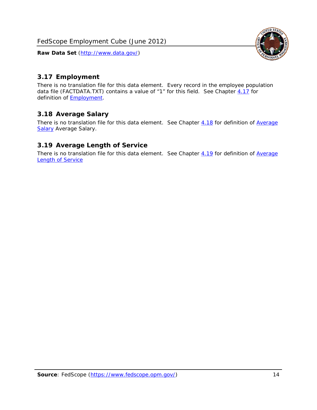<span id="page-14-0"></span>

There is no translation file for this data element. Every record in the employee population data file (FACTDATA.TXT) contains a value of "1" for this field. See Chapter [4.17](#page-16-8) for definition of **Employment**.

#### <span id="page-14-1"></span>*3.18 Average Salary*

There is no translation file for this data element. See Chapter [4.18](#page-17-1) for definition of [Average](#page-17-1) **[Salary](#page-17-1) [Average Salary.](#page-17-1)** 

#### <span id="page-14-2"></span>*3.19 Average Length of Service*

There is no translation file for this data element. See Chapter [4.19](#page-17-2) for definition of [Average](#page-17-2) Length of Service

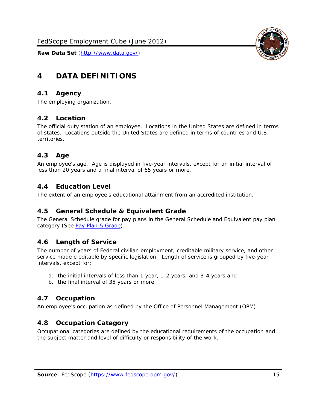

# <span id="page-15-0"></span>**4 DATA DEFINITIONS**

#### <span id="page-15-1"></span>*4.1 Agency*

The employing organization.

# <span id="page-15-2"></span>*4.2 Location*

The official duty station of an employee. Locations in the United States are defined in terms of states. Locations outside the United States are defined in terms of countries and U.S. territories.

#### <span id="page-15-3"></span>*4.3 Age*

An employee's age. Age is displayed in five-year intervals, except for an initial interval of less than 20 years and a final interval of 65 years or more.

#### <span id="page-15-4"></span>*4.4 Education Level*

The extent of an employee's educational attainment from an accredited institution.

#### <span id="page-15-5"></span>*4.5 General Schedule & Equivalent Grade*

The General Schedule grade for pay plans in the General Schedule and Equivalent pay plan category (See [Pay Plan & Grade](#page-16-0)).

#### <span id="page-15-6"></span>*4.6 Length of Service*

The number of years of Federal civilian employment, creditable military service, and other service made creditable by specific legislation. Length of service is grouped by five-year intervals, except for:

- a. the initial intervals of less than 1 year, 1-2 years, and 3-4 years and
- b. the final interval of 35 years or more.

# <span id="page-15-7"></span>*4.7 Occupation*

An employee's occupation as defined by the Office of Personnel Management (OPM).

# <span id="page-15-8"></span>*4.8 Occupation Category*

Occupational categories are defined by the educational requirements of the occupation and the subject matter and level of difficulty or responsibility of the work.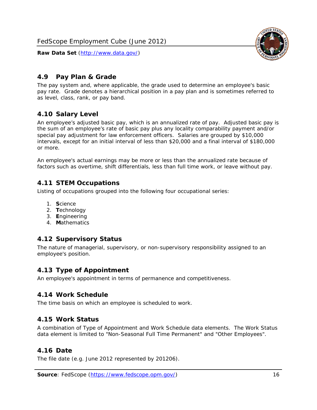

### <span id="page-16-0"></span>*4.9 Pay Plan & Grade*

The pay system and, where applicable, the grade used to determine an employee's basic pay rate. Grade denotes a hierarchical position in a pay plan and is sometimes referred to as level, class, rank, or pay band.

# <span id="page-16-1"></span>*4.10 Salary Level*

An employee's adjusted basic pay, which is an annualized rate of pay. Adjusted basic pay is the sum of an employee's rate of basic pay plus any locality comparability payment and/or special pay adjustment for law enforcement officers. Salaries are grouped by \$10,000 intervals, except for an initial interval of less than \$20,000 and a final interval of \$180,000 or more.

An employee's actual earnings may be more or less than the annualized rate because of factors such as overtime, shift differentials, less than full time work, or leave without pay.

#### <span id="page-16-2"></span>*4.11 STEM Occupations*

Listing of occupations grouped into the following four occupational series:

- 1. **S**cience
- 2. **T**echnology
- 3. **E**ngineering
- 4. **M**athematics

#### <span id="page-16-3"></span>*4.12 Supervisory Status*

The nature of managerial, supervisory, or non-supervisory responsibility assigned to an employee's position.

#### <span id="page-16-4"></span>*4.13 Type of Appointment*

An employee's appointment in terms of permanence and competitiveness.

#### <span id="page-16-5"></span>*4.14 Work Schedule*

The time basis on which an employee is scheduled to work.

#### <span id="page-16-6"></span>*4.15 Work Status*

A combination of Type of Appointment and Work Schedule data elements. The Work Status data element is limited to "Non-Seasonal Full Time Permanent" and "Other Employees".

#### <span id="page-16-7"></span>*4.16 Date*

<span id="page-16-8"></span>The file date (e.g. June 2012 represented by 201206).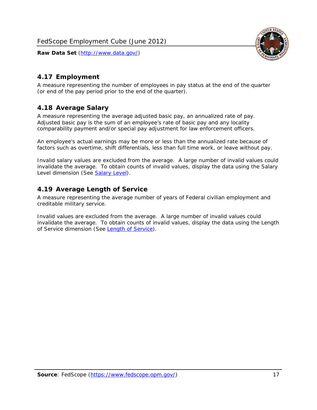

# <span id="page-17-0"></span>*4.17 Employment*

A measure representing the number of employees in pay status at the end of the quarter (or end of the pay period prior to the end of the quarter).

#### <span id="page-17-1"></span>*4.18 Average Salary*

A measure representing the average adjusted basic pay, an annualized rate of pay. Adjusted basic pay is the sum of an employee's rate of basic pay and any locality comparability payment and/or special pay adjustment for law enforcement officers.

An employee's actual earnings may be more or less than the annualized rate because of factors such as overtime, shift differentials, less than full time work, or leave without pay.

Invalid salary values are excluded from the average. A large number of invalid values could invalidate the average. To obtain counts of invalid values, display the data using the Salary Level dimension (See [Salary Level\)](#page-16-1).

#### <span id="page-17-2"></span>*4.19 Average Length of Service*

A measure representing the average number of years of Federal civilian employment and creditable military service.

Invalid values are excluded from the average. A large number of invalid values could invalidate the average. To obtain counts of invalid values, display the data using the Length of Service dimension (See [Length of Service](#page-15-6)).